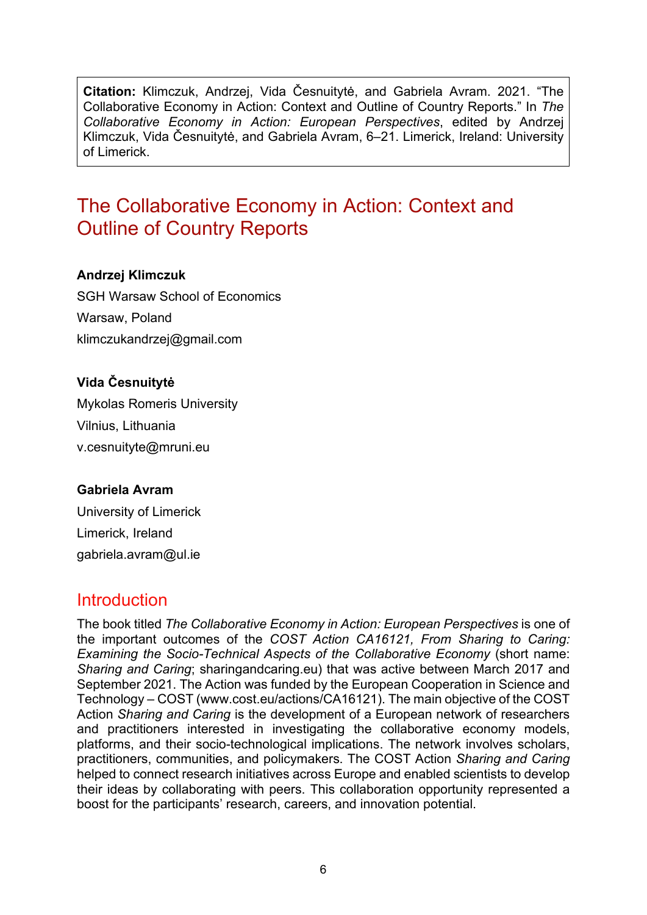**Citation:** Klimczuk, Andrzej, Vida Česnuitytė, and Gabriela Avram. 2021. "The Collaborative Economy in Action: Context and Outline of Country Reports." In *The Collaborative Economy in Action: European Perspectives*, edited by Andrzej Klimczuk, Vida Česnuitytė, and Gabriela Avram, 6–21. Limerick, Ireland: University of Limerick.

# The Collaborative Economy in Action: Context and Outline of Country Reports

#### **Andrzej Klimczuk**

SGH Warsaw School of Economics Warsaw, Poland [klimczukandrzej@gmail.com](mailto:klimczukandrzej@gmail.com)

#### **Vida Česnuitytė**

Mykolas Romeris University Vilnius, Lithuania [v.cesnuityte@mruni.eu](mailto:vida.cesnuityte@gmail.com)

#### **Gabriela Avram**

University of Limerick Limerick, Ireland [gabriela.avram@ul.ie](mailto:gabriela.avram@ul.ie)

## Introduction

The book titled *The Collaborative Economy in Action: European Perspectives* is one of the important outcomes of the *COST Action CA16121, From Sharing to Caring: Examining the Socio-Technical Aspects of the Collaborative Economy* (short name: *Sharing and Caring*; [sharingandcaring.eu](http://sharingandcaring.eu/)) that was active between March 2017 and September 2021. The Action was funded by the European Cooperation in Science and Technology – COST ([www.cost.eu/actions/CA16121](http://www.cost.eu/actions/CA16121)). The main objective of the COST Action *Sharing and Caring* is the development of a European network of researchers and practitioners interested in investigating the collaborative economy models, platforms, and their socio-technological implications. The network involves scholars, practitioners, communities, and policymakers. The COST Action *Sharing and Caring* helped to connect research initiatives across Europe and enabled scientists to develop their ideas by collaborating with peers. This collaboration opportunity represented a boost for the participants' research, careers, and innovation potential.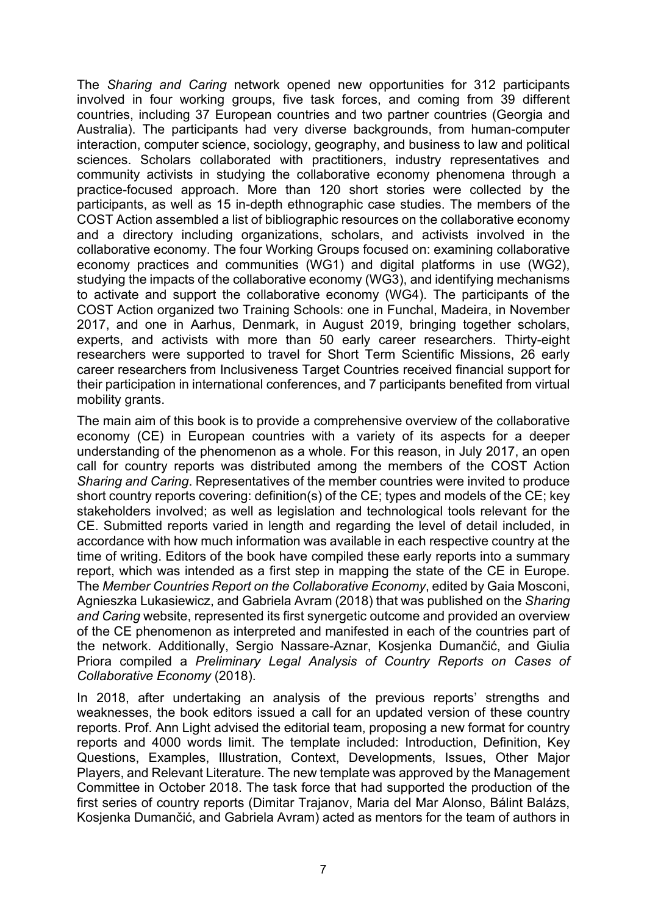The *Sharing and Caring* network opened new opportunities for 312 participants involved in four working groups, five task forces, and coming from 39 different countries, including 37 European countries and two partner countries (Georgia and Australia). The participants had very diverse backgrounds, from human-computer interaction, computer science, sociology, geography, and business to law and political sciences. Scholars collaborated with practitioners, industry representatives and community activists in studying the collaborative economy phenomena through a practice-focused approach. More than 120 short stories were collected by the participants, as well as 15 in-depth ethnographic case studies. The members of the COST Action assembled a list of bibliographic resources on the collaborative economy and a directory including organizations, scholars, and activists involved in the collaborative economy. The four Working Groups focused on: examining collaborative economy practices and communities (WG1) and digital platforms in use (WG2), studying the impacts of the collaborative economy (WG3), and identifying mechanisms to activate and support the collaborative economy (WG4). The participants of the COST Action organized two Training Schools: one in Funchal, Madeira, in November 2017, and one in Aarhus, Denmark, in August 2019, bringing together scholars, experts, and activists with more than 50 early career researchers. Thirty-eight researchers were supported to travel for Short Term Scientific Missions, 26 early career researchers from Inclusiveness Target Countries received financial support for their participation in international conferences, and 7 participants benefited from virtual mobility grants.

The main aim of this book is to provide a comprehensive overview of the collaborative economy (CE) in European countries with a variety of its aspects for a deeper understanding of the phenomenon as a whole. For this reason, in July 2017, an open call for country reports was distributed among the members of the COST Action *Sharing and Caring*. Representatives of the member countries were invited to produce short country reports covering: definition(s) of the CE; types and models of the CE; key stakeholders involved; as well as legislation and technological tools relevant for the CE. Submitted reports varied in length and regarding the level of detail included, in accordance with how much information was available in each respective country at the time of writing. Editors of the book have compiled these early reports into a summary report, which was intended as a first step in mapping the state of the CE in Europe. The *Member Countries Report on the Collaborative Economy*, edited by Gaia Mosconi, Agnieszka Lukasiewicz, and Gabriela Avram (2018) that was published on the *Sharing and Caring* website, represented its first synergetic outcome and provided an overview of the CE phenomenon as interpreted and manifested in each of the countries part of the network. Additionally, Sergio Nassare-Aznar, Kosjenka Dumančić, and Giulia Priora compiled a *Preliminary Legal Analysis of Country Reports on Cases of Collaborative Economy* (2018).

In 2018, after undertaking an analysis of the previous reports' strengths and weaknesses, the book editors issued a call for an updated version of these country reports. Prof. Ann Light advised the editorial team, proposing a new format for country reports and 4000 words limit. The template included: Introduction, Definition, Key Questions, Examples, Illustration, Context, Developments, Issues, Other Major Players, and Relevant Literature. The new template was approved by the Management Committee in October 2018. The task force that had supported the production of the first series of country reports (Dimitar Trajanov, Maria del Mar Alonso, Bálint Balázs, Kosjenka Dumančić, and Gabriela Avram) acted as mentors for the team of authors in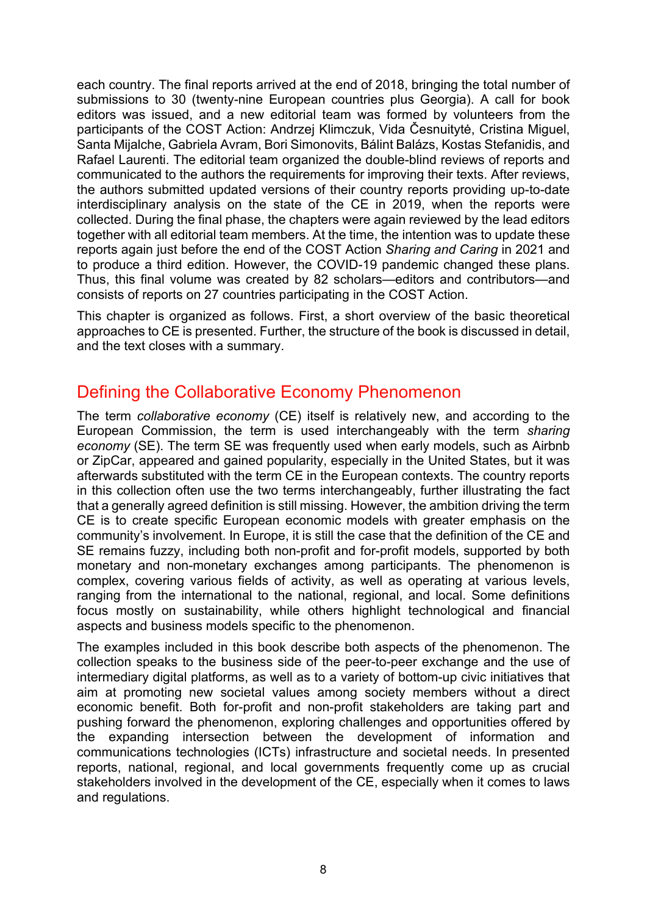each country. The final reports arrived at the end of 2018, bringing the total number of submissions to 30 (twenty-nine European countries plus Georgia). A call for book editors was issued, and a new editorial team was formed by volunteers from the participants of the COST Action: Andrzej Klimczuk, Vida Česnuitytė, Cristina Miguel, Santa Mijalche, Gabriela Avram, Bori Simonovits, Bálint Balázs, Kostas Stefanidis, and Rafael Laurenti. The editorial team organized the double-blind reviews of reports and communicated to the authors the requirements for improving their texts. After reviews, the authors submitted updated versions of their country reports providing up-to-date interdisciplinary analysis on the state of the CE in 2019, when the reports were collected. During the final phase, the chapters were again reviewed by the lead editors together with all editorial team members. At the time, the intention was to update these reports again just before the end of the COST Action *Sharing and Caring* in 2021 and to produce a third edition. However, the COVID-19 pandemic changed these plans. Thus, this final volume was created by 82 scholars—editors and contributors—and consists of reports on 27 countries participating in the COST Action.

This chapter is organized as follows. First, a short overview of the basic theoretical approaches to CE is presented. Further, the structure of the book is discussed in detail, and the text closes with a summary.

## Defining the Collaborative Economy Phenomenon

The term *collaborative economy* (CE) itself is relatively new, and according to the European Commission, the term is used interchangeably with the term *sharing economy* (SE). The term SE was frequently used when early models, such as Airbnb or ZipCar, appeared and gained popularity, especially in the United States, but it was afterwards substituted with the term CE in the European contexts. The country reports in this collection often use the two terms interchangeably, further illustrating the fact that a generally agreed definition is still missing. However, the ambition driving the term CE is to create specific European economic models with greater emphasis on the community's involvement. In Europe, it is still the case that the definition of the CE and SE remains fuzzy, including both non-profit and for-profit models, supported by both monetary and non-monetary exchanges among participants. The phenomenon is complex, covering various fields of activity, as well as operating at various levels, ranging from the international to the national, regional, and local. Some definitions focus mostly on sustainability, while others highlight technological and financial aspects and business models specific to the phenomenon.

The examples included in this book describe both aspects of the phenomenon. The collection speaks to the business side of the peer-to-peer exchange and the use of intermediary digital platforms, as well as to a variety of bottom-up civic initiatives that aim at promoting new societal values among society members without a direct economic benefit. Both for-profit and non-profit stakeholders are taking part and pushing forward the phenomenon, exploring challenges and opportunities offered by the expanding intersection between the development of information and communications technologies (ICTs) infrastructure and societal needs. In presented reports, national, regional, and local governments frequently come up as crucial stakeholders involved in the development of the CE, especially when it comes to laws and regulations.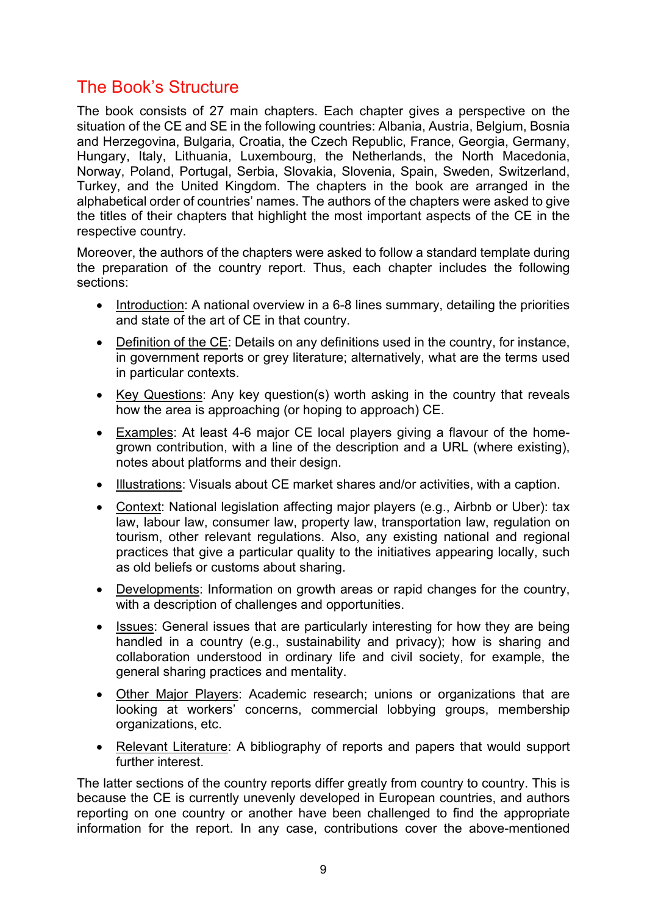## The Book's Structure

The book consists of 27 main chapters. Each chapter gives a perspective on the situation of the CE and SE in the following countries: Albania, Austria, Belgium, Bosnia and Herzegovina, Bulgaria, Croatia, the Czech Republic, France, Georgia, Germany, Hungary, Italy, Lithuania, Luxembourg, the Netherlands, the North Macedonia, Norway, Poland, Portugal, Serbia, Slovakia, Slovenia, Spain, Sweden, Switzerland, Turkey, and the United Kingdom. The chapters in the book are arranged in the alphabetical order of countries' names. The authors of the chapters were asked to give the titles of their chapters that highlight the most important aspects of the CE in the respective country.

Moreover, the authors of the chapters were asked to follow a standard template during the preparation of the country report. Thus, each chapter includes the following sections:

- Introduction: A national overview in a 6-8 lines summary, detailing the priorities and state of the art of CE in that country.
- Definition of the CE: Details on any definitions used in the country, for instance, in government reports or grey literature; alternatively, what are the terms used in particular contexts.
- Key Questions: Any key question(s) worth asking in the country that reveals how the area is approaching (or hoping to approach) CE.
- Examples: At least 4-6 major CE local players giving a flavour of the homegrown contribution, with a line of the description and a URL (where existing), notes about platforms and their design.
- Illustrations: Visuals about CE market shares and/or activities, with a caption.
- Context: National legislation affecting major players (e.g., Airbnb or Uber): tax law, labour law, consumer law, property law, transportation law, regulation on tourism, other relevant regulations. Also, any existing national and regional practices that give a particular quality to the initiatives appearing locally, such as old beliefs or customs about sharing.
- Developments: Information on growth areas or rapid changes for the country, with a description of challenges and opportunities.
- Issues: General issues that are particularly interesting for how they are being handled in a country (e.g., sustainability and privacy); how is sharing and collaboration understood in ordinary life and civil society, for example, the general sharing practices and mentality.
- Other Major Players: Academic research; unions or organizations that are looking at workers' concerns, commercial lobbying groups, membership organizations, etc.
- Relevant Literature: A bibliography of reports and papers that would support further interest.

The latter sections of the country reports differ greatly from country to country. This is because the CE is currently unevenly developed in European countries, and authors reporting on one country or another have been challenged to find the appropriate information for the report. In any case, contributions cover the above-mentioned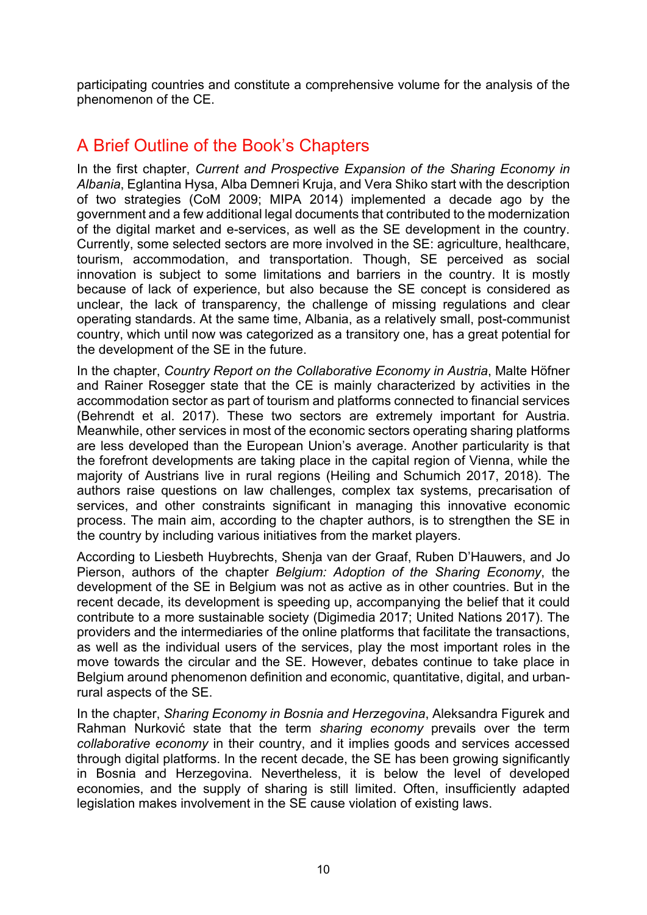participating countries and constitute a comprehensive volume for the analysis of the phenomenon of the CE.

## A Brief Outline of the Book's Chapters

In the first chapter, *Current and Prospective Expansion of the Sharing Economy in Albania*, Eglantina Hysa, Alba Demneri Kruja, and Vera Shiko start with the description of two strategies (CoM 2009; MIPA 2014) implemented a decade ago by the government and a few additional legal documents that contributed to the modernization of the digital market and e-services, as well as the SE development in the country. Currently, some selected sectors are more involved in the SE: agriculture, healthcare, tourism, accommodation, and transportation. Though, SE perceived as social innovation is subject to some limitations and barriers in the country. It is mostly because of lack of experience, but also because the SE concept is considered as unclear, the lack of transparency, the challenge of missing regulations and clear operating standards. At the same time, Albania, as a relatively small, post-communist country, which until now was categorized as a transitory one, has a great potential for the development of the SE in the future.

In the chapter, *Country Report on the Collaborative Economy in Austria*, Malte Höfner and Rainer Rosegger state that the CE is mainly characterized by activities in the accommodation sector as part of tourism and platforms connected to financial services (Behrendt et al. 2017). These two sectors are extremely important for Austria. Meanwhile, other services in most of the economic sectors operating sharing platforms are less developed than the European Union's average. Another particularity is that the forefront developments are taking place in the capital region of Vienna, while the majority of Austrians live in rural regions (Heiling and Schumich 2017, 2018). The authors raise questions on law challenges, complex tax systems, precarisation of services, and other constraints significant in managing this innovative economic process. The main aim, according to the chapter authors, is to strengthen the SE in the country by including various initiatives from the market players.

According to Liesbeth Huybrechts, Shenja van der Graaf, Ruben D'Hauwers, and Jo Pierson, authors of the chapter *Belgium: Adoption of the Sharing Economy*, the development of the SE in Belgium was not as active as in other countries. But in the recent decade, its development is speeding up, accompanying the belief that it could contribute to a more sustainable society (Digimedia 2017; United Nations 2017). The providers and the intermediaries of the online platforms that facilitate the transactions, as well as the individual users of the services, play the most important roles in the move towards the circular and the SE. However, debates continue to take place in Belgium around phenomenon definition and economic, quantitative, digital, and urbanrural aspects of the SE.

In the chapter, *Sharing Economy in Bosnia and Herzegovina*, Aleksandra Figurek and Rahman Nurković state that the term *sharing economy* prevails over the term *collaborative economy* in their country, and it implies goods and services accessed through digital platforms. In the recent decade, the SE has been growing significantly in Bosnia and Herzegovina. Nevertheless, it is below the level of developed economies, and the supply of sharing is still limited. Often, insufficiently adapted legislation makes involvement in the SE cause violation of existing laws.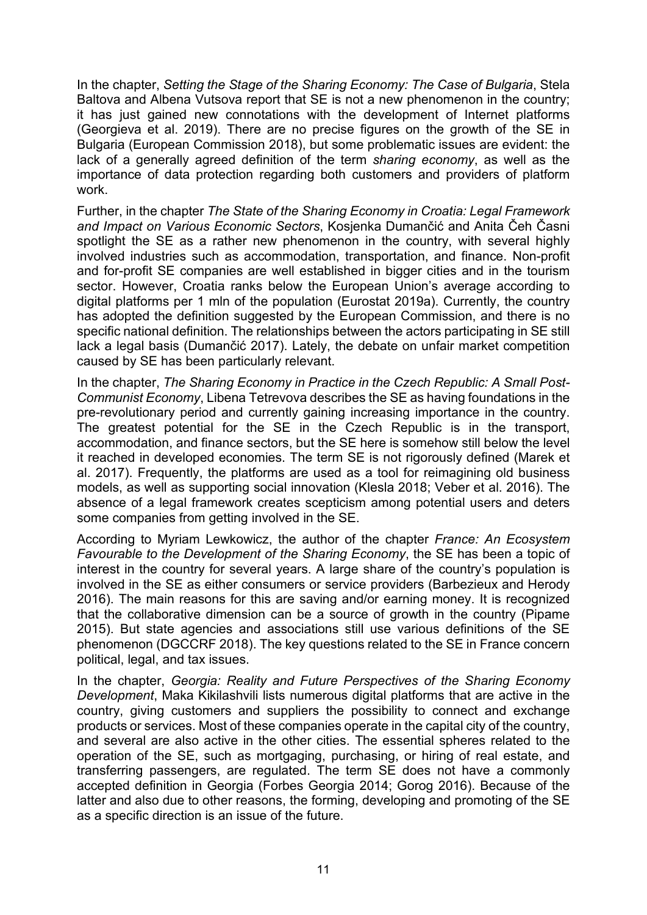In the chapter, *Setting the Stage of the Sharing Economy: The Case of Bulgaria*, Stela Baltova and Albena Vutsova report that SE is not a new phenomenon in the country; it has just gained new connotations with the development of Internet platforms (Georgieva et al. 2019). There are no precise figures on the growth of the SE in Bulgaria (European Commission 2018), but some problematic issues are evident: the lack of a generally agreed definition of the term *sharing economy*, as well as the importance of data protection regarding both customers and providers of platform work.

Further, in the chapter *The State of the Sharing Economy in Croatia: Legal Framework and Impact on Various Economic Sectors*, Kosjenka Dumančić and Anita Čeh Časni spotlight the SE as a rather new phenomenon in the country, with several highly involved industries such as accommodation, transportation, and finance. Non-profit and for-profit SE companies are well established in bigger cities and in the tourism sector. However, Croatia ranks below the European Union's average according to digital platforms per 1 mln of the population (Eurostat 2019a). Currently, the country has adopted the definition suggested by the European Commission, and there is no specific national definition. The relationships between the actors participating in SE still lack a legal basis (Dumančić 2017). Lately, the debate on unfair market competition caused by SE has been particularly relevant.

In the chapter, *The Sharing Economy in Practice in the Czech Republic: A Small Post-Communist Economy*, Libena Tetrevova describes the SE as having foundations in the pre-revolutionary period and currently gaining increasing importance in the country. The greatest potential for the SE in the Czech Republic is in the transport, accommodation, and finance sectors, but the SE here is somehow still below the level it reached in developed economies. The term SE is not rigorously defined (Marek et al. 2017). Frequently, the platforms are used as a tool for reimagining old business models, as well as supporting social innovation (Klesla 2018; Veber et al. 2016). The absence of a legal framework creates scepticism among potential users and deters some companies from getting involved in the SE.

According to Myriam Lewkowicz, the author of the chapter *France: An Ecosystem Favourable to the Development of the Sharing Economy*, the SE has been a topic of interest in the country for several years. A large share of the country's population is involved in the SE as either consumers or service providers (Barbezieux and Herody 2016). The main reasons for this are saving and/or earning money. It is recognized that the collaborative dimension can be a source of growth in the country (Pipame 2015). But state agencies and associations still use various definitions of the SE phenomenon (DGCCRF 2018). The key questions related to the SE in France concern political, legal, and tax issues.

In the chapter, *Georgia: Reality and Future Perspectives of the Sharing Economy Development*, Maka Kikilashvili lists numerous digital platforms that are active in the country, giving customers and suppliers the possibility to connect and exchange products or services. Most of these companies operate in the capital city of the country, and several are also active in the other cities. The essential spheres related to the operation of the SE, such as mortgaging, purchasing, or hiring of real estate, and transferring passengers, are regulated. The term SE does not have a commonly accepted definition in Georgia (Forbes Georgia 2014; Gorog 2016). Because of the latter and also due to other reasons, the forming, developing and promoting of the SE as a specific direction is an issue of the future.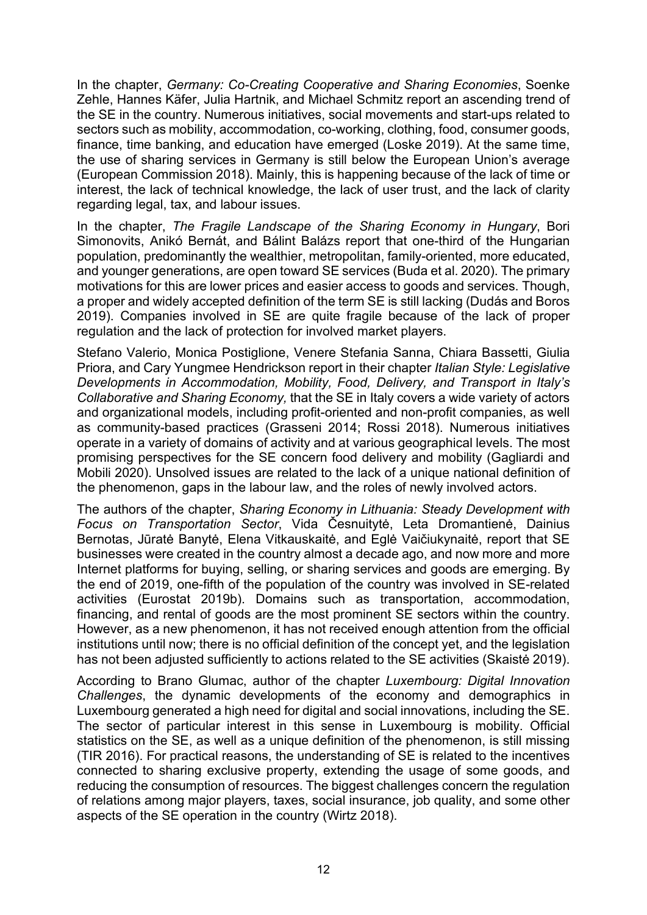In the chapter, *Germany: Co-Creating Cooperative and Sharing Economies*, Soenke Zehle, Hannes Käfer, Julia Hartnik, and Michael Schmitz report an ascending trend of the SE in the country. Numerous initiatives, social movements and start-ups related to sectors such as mobility, accommodation, co-working, clothing, food, consumer goods, finance, time banking, and education have emerged (Loske 2019). At the same time, the use of sharing services in Germany is still below the European Union's average (European Commission 2018). Mainly, this is happening because of the lack of time or interest, the lack of technical knowledge, the lack of user trust, and the lack of clarity regarding legal, tax, and labour issues.

In the chapter, *The Fragile Landscape of the Sharing Economy in Hungary*, Bori Simonovits, Anikó Bernát, and Bálint Balázs report that one-third of the Hungarian population, predominantly the wealthier, metropolitan, family-oriented, more educated, and younger generations, are open toward SE services (Buda et al. 2020). The primary motivations for this are lower prices and easier access to goods and services. Though, a proper and widely accepted definition of the term SE is still lacking (Dudás and Boros 2019). Companies involved in SE are quite fragile because of the lack of proper regulation and the lack of protection for involved market players.

Stefano Valerio, Monica Postiglione, Venere Stefania Sanna, Chiara Bassetti, Giulia Priora, and Cary Yungmee Hendrickson report in their chapter *Italian Style: Legislative Developments in Accommodation, Mobility, Food, Delivery, and Transport in Italy's Collaborative and Sharing Economy,* that the SE in Italy covers a wide variety of actors and organizational models, including profit-oriented and non-profit companies, as well as community-based practices (Grasseni 2014; Rossi 2018). Numerous initiatives operate in a variety of domains of activity and at various geographical levels. The most promising perspectives for the SE concern food delivery and mobility (Gagliardi and Mobili 2020). Unsolved issues are related to the lack of a unique national definition of the phenomenon, gaps in the labour law, and the roles of newly involved actors.

The authors of the chapter, *Sharing Economy in Lithuania: Steady Development with Focus on Transportation Sector*, Vida Česnuitytė, Leta Dromantienė, Dainius Bernotas, Jūratė Banytė, Elena Vitkauskaitė, and Eglė Vaičiukynaitė, report that SE businesses were created in the country almost a decade ago, and now more and more Internet platforms for buying, selling, or sharing services and goods are emerging. By the end of 2019, one-fifth of the population of the country was involved in SE-related activities (Eurostat 2019b). Domains such as transportation, accommodation, financing, and rental of goods are the most prominent SE sectors within the country. However, as a new phenomenon, it has not received enough attention from the official institutions until now; there is no official definition of the concept yet, and the legislation has not been adjusted sufficiently to actions related to the SE activities (Skaistė 2019).

According to Brano Glumac, author of the chapter *Luxembourg: Digital Innovation Challenges*, the dynamic developments of the economy and demographics in Luxembourg generated a high need for digital and social innovations, including the SE. The sector of particular interest in this sense in Luxembourg is mobility. Official statistics on the SE, as well as a unique definition of the phenomenon, is still missing (TIR 2016). For practical reasons, the understanding of SE is related to the incentives connected to sharing exclusive property, extending the usage of some goods, and reducing the consumption of resources. The biggest challenges concern the regulation of relations among major players, taxes, social insurance, job quality, and some other aspects of the SE operation in the country (Wirtz 2018).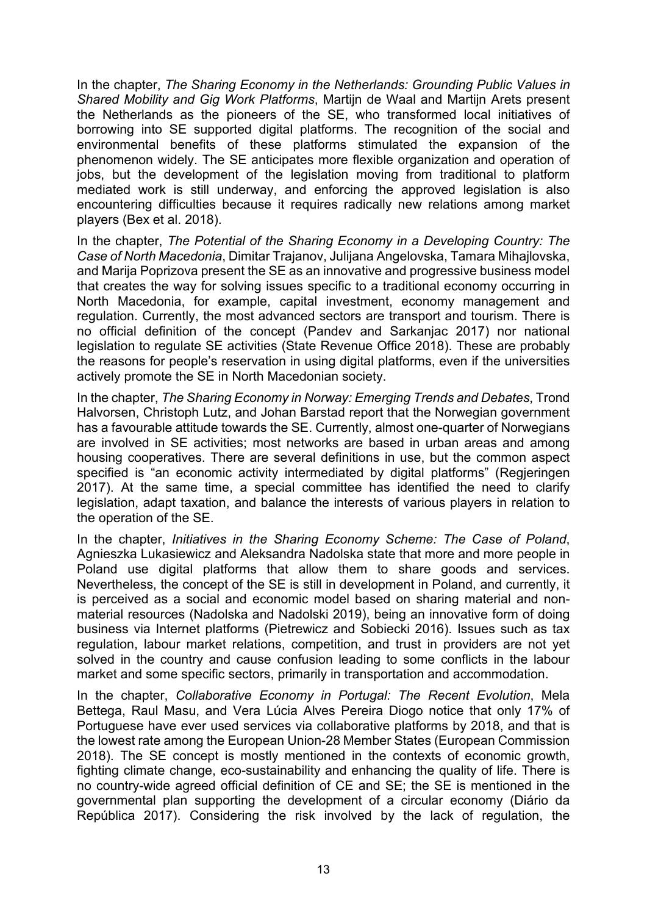In the chapter, *The Sharing Economy in the Netherlands: Grounding Public Values in Shared Mobility and Gig Work Platforms*, Martijn de Waal and Martijn Arets present the Netherlands as the pioneers of the SE, who transformed local initiatives of borrowing into SE supported digital platforms. The recognition of the social and environmental benefits of these platforms stimulated the expansion of the phenomenon widely. The SE anticipates more flexible organization and operation of jobs, but the development of the legislation moving from traditional to platform mediated work is still underway, and enforcing the approved legislation is also encountering difficulties because it requires radically new relations among market players (Bex et al. 2018).

In the chapter, *The Potential of the Sharing Economy in a Developing Country: The Case of North Macedonia*, Dimitar Trajanov, Julijana Angelovska, Tamara Mihajlovska, and Marija Poprizova present the SE as an innovative and progressive business model that creates the way for solving issues specific to a traditional economy occurring in North Macedonia, for example, capital investment, economy management and regulation. Currently, the most advanced sectors are transport and tourism. There is no official definition of the concept (Pandev and Sarkanjac 2017) nor national legislation to regulate SE activities (State Revenue Office 2018). These are probably the reasons for people's reservation in using digital platforms, even if the universities actively promote the SE in North Macedonian society.

In the chapter, *The Sharing Economy in Norway: Emerging Trends and Debates*, Trond Halvorsen, Christoph Lutz, and Johan Barstad report that the Norwegian government has a favourable attitude towards the SE. Currently, almost one-quarter of Norwegians are involved in SE activities; most networks are based in urban areas and among housing cooperatives. There are several definitions in use, but the common aspect specified is "an economic activity intermediated by digital platforms" (Regieringen 2017). At the same time, a special committee has identified the need to clarify legislation, adapt taxation, and balance the interests of various players in relation to the operation of the SE.

In the chapter, *Initiatives in the Sharing Economy Scheme: The Case of Poland*, Agnieszka Lukasiewicz and Aleksandra Nadolska state that more and more people in Poland use digital platforms that allow them to share goods and services. Nevertheless, the concept of the SE is still in development in Poland, and currently, it is perceived as a social and economic model based on sharing material and nonmaterial resources (Nadolska and Nadolski 2019), being an innovative form of doing business via Internet platforms (Pietrewicz and Sobiecki 2016). Issues such as tax regulation, labour market relations, competition, and trust in providers are not yet solved in the country and cause confusion leading to some conflicts in the labour market and some specific sectors, primarily in transportation and accommodation.

In the chapter, *Collaborative Economy in Portugal: The Recent Evolution*, Mela Bettega, Raul Masu, and Vera Lúcia Alves Pereira Diogo notice that only 17% of Portuguese have ever used services via collaborative platforms by 2018, and that is the lowest rate among the European Union-28 Member States (European Commission 2018). The SE concept is mostly mentioned in the contexts of economic growth, fighting climate change, eco-sustainability and enhancing the quality of life. There is no country-wide agreed official definition of CE and SE; the SE is mentioned in the governmental plan supporting the development of a circular economy (Diário da República 2017). Considering the risk involved by the lack of regulation, the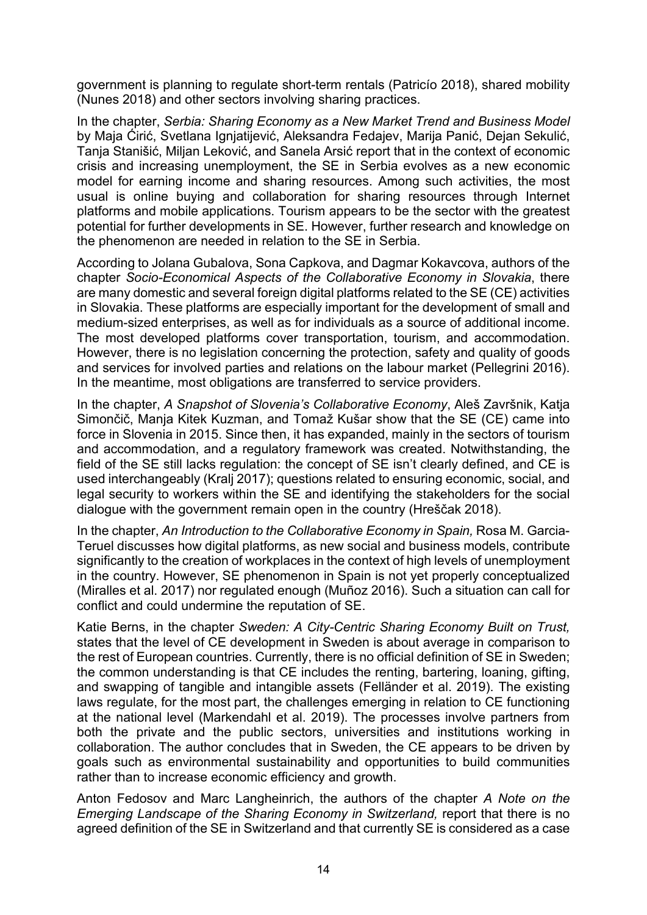government is planning to regulate short-term rentals (Patricío 2018), shared mobility (Nunes 2018) and other sectors involving sharing practices.

In the chapter, *Serbia: Sharing Economy as a New Market Trend and Business Model* by Maja Ćirić, Svetlana Ignjatijević, Aleksandra Fedajev, Marija Panić, Dejan Sekulić, Tanja Stanišić, Miljan Leković, and Sanela Arsić report that in the context of economic crisis and increasing unemployment, the SE in Serbia evolves as a new economic model for earning income and sharing resources. Among such activities, the most usual is online buying and collaboration for sharing resources through Internet platforms and mobile applications. Tourism appears to be the sector with the greatest potential for further developments in SE. However, further research and knowledge on the phenomenon are needed in relation to the SE in Serbia.

According to Jolana Gubalova, Sona Capkova, and Dagmar Kokavcova, authors of the chapter *Socio-Economical Aspects of the Collaborative Economy in Slovakia*, there are many domestic and several foreign digital platforms related to the SE (CE) activities in Slovakia. These platforms are especially important for the development of small and medium-sized enterprises, as well as for individuals as a source of additional income. The most developed platforms cover transportation, tourism, and accommodation. However, there is no legislation concerning the protection, safety and quality of goods and services for involved parties and relations on the labour market (Pellegrini 2016). In the meantime, most obligations are transferred to service providers.

In the chapter, *A Snapshot of Slovenia's Collaborative Economy*, Aleš Završnik, Katja Simončič, Manja Kitek Kuzman, and Tomaž Kušar show that the SE (CE) came into force in Slovenia in 2015. Since then, it has expanded, mainly in the sectors of tourism and accommodation, and a regulatory framework was created. Notwithstanding, the field of the SE still lacks regulation: the concept of SE isn't clearly defined, and CE is used interchangeably (Kralj 2017); questions related to ensuring economic, social, and legal security to workers within the SE and identifying the stakeholders for the social dialogue with the government remain open in the country (Hreščak 2018).

In the chapter, An Introduction to the Collaborative Economy in Spain, Rosa M. Garcia-Teruel discusses how digital platforms, as new social and business models, contribute significantly to the creation of workplaces in the context of high levels of unemployment in the country. However, SE phenomenon in Spain is not yet properly conceptualized (Miralles et al. 2017) nor regulated enough (Muñoz 2016). Such a situation can call for conflict and could undermine the reputation of SE.

Katie Berns, in the chapter *Sweden: A City-Centric Sharing Economy Built on Trust,* states that the level of CE development in Sweden is about average in comparison to the rest of European countries. Currently, there is no official definition of SE in Sweden; the common understanding is that CE includes the renting, bartering, loaning, gifting, and swapping of tangible and intangible assets (Felländer et al. 2019). The existing laws regulate, for the most part, the challenges emerging in relation to CE functioning at the national level (Markendahl et al. 2019). The processes involve partners from both the private and the public sectors, universities and institutions working in collaboration. The author concludes that in Sweden, the CE appears to be driven by goals such as environmental sustainability and opportunities to build communities rather than to increase economic efficiency and growth.

Anton Fedosov and Marc Langheinrich, the authors of the chapter *A Note on the Emerging Landscape of the Sharing Economy in Switzerland,* report that there is no agreed definition of the SE in Switzerland and that currently SE is considered as a case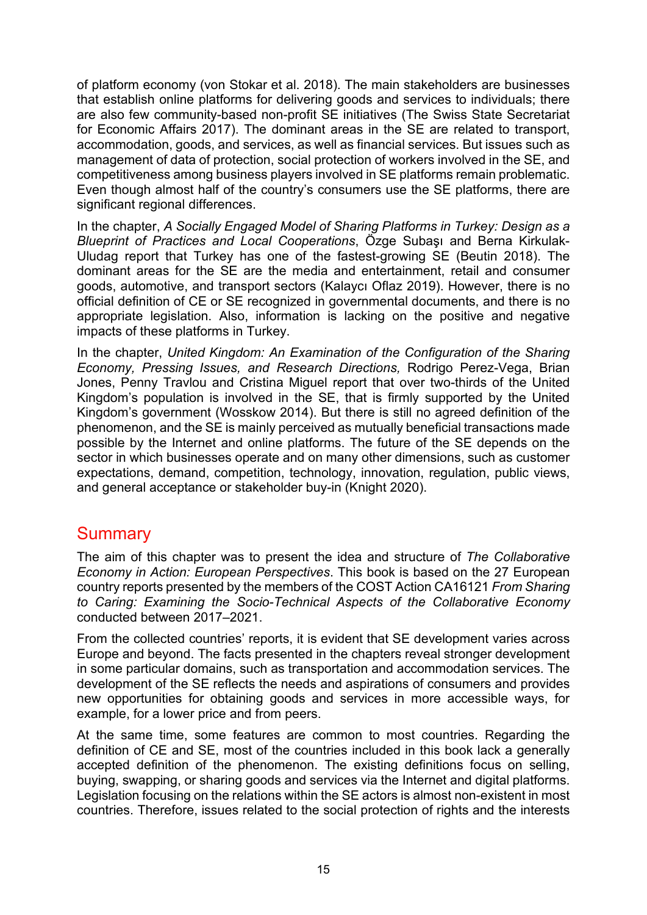of platform economy (von Stokar et al. 2018). The main stakeholders are businesses that establish online platforms for delivering goods and services to individuals; there are also few community-based non-profit SE initiatives (The Swiss State Secretariat for Economic Affairs 2017). The dominant areas in the SE are related to transport, accommodation, goods, and services, as well as financial services. But issues such as management of data of protection, social protection of workers involved in the SE, and competitiveness among business players involved in SE platforms remain problematic. Even though almost half of the country's consumers use the SE platforms, there are significant regional differences.

In the chapter, *A Socially Engaged Model of Sharing Platforms in Turkey: Design as a Blueprint of Practices and Local Cooperations*, Özge Subaşı and Berna Kirkulak-Uludag report that Turkey has one of the fastest-growing SE (Beutin 2018). The dominant areas for the SE are the media and entertainment, retail and consumer goods, automotive, and transport sectors (Kalaycı Oflaz 2019). However, there is no official definition of CE or SE recognized in governmental documents, and there is no appropriate legislation. Also, information is lacking on the positive and negative impacts of these platforms in Turkey.

In the chapter, *United Kingdom: An Examination of the Configuration of the Sharing Economy, Pressing Issues, and Research Directions,* Rodrigo Perez-Vega, Brian Jones, Penny Travlou and Cristina Miguel report that over two-thirds of the United Kingdom's population is involved in the SE, that is firmly supported by the United Kingdom's government (Wosskow 2014). But there is still no agreed definition of the phenomenon, and the SE is mainly perceived as mutually beneficial transactions made possible by the Internet and online platforms. The future of the SE depends on the sector in which businesses operate and on many other dimensions, such as customer expectations, demand, competition, technology, innovation, regulation, public views, and general acceptance or stakeholder buy-in (Knight 2020).

## **Summary**

The aim of this chapter was to present the idea and structure of *The Collaborative Economy in Action: European Perspectives*. This book is based on the 27 European country reports presented by the members of the COST Action CA16121 *From Sharing to Caring: Examining the Socio-Technical Aspects of the Collaborative Economy* conducted between 2017–2021.

From the collected countries' reports, it is evident that SE development varies across Europe and beyond. The facts presented in the chapters reveal stronger development in some particular domains, such as transportation and accommodation services. The development of the SE reflects the needs and aspirations of consumers and provides new opportunities for obtaining goods and services in more accessible ways, for example, for a lower price and from peers.

At the same time, some features are common to most countries. Regarding the definition of CE and SE, most of the countries included in this book lack a generally accepted definition of the phenomenon. The existing definitions focus on selling, buying, swapping, or sharing goods and services via the Internet and digital platforms. Legislation focusing on the relations within the SE actors is almost non-existent in most countries. Therefore, issues related to the social protection of rights and the interests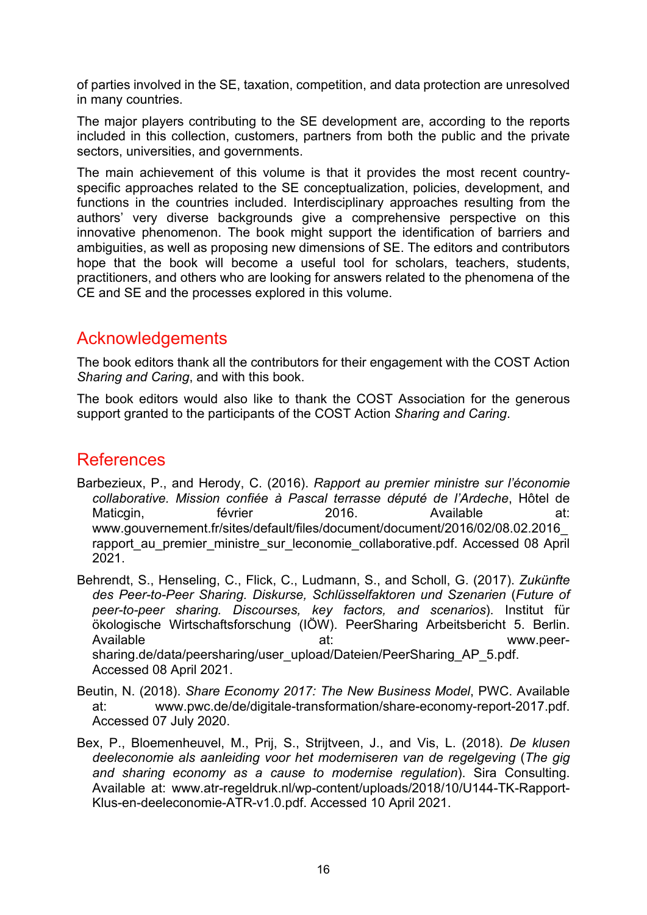of parties involved in the SE, taxation, competition, and data protection are unresolved in many countries.

The major players contributing to the SE development are, according to the reports included in this collection, customers, partners from both the public and the private sectors, universities, and governments.

The main achievement of this volume is that it provides the most recent countryspecific approaches related to the SE conceptualization, policies, development, and functions in the countries included. Interdisciplinary approaches resulting from the authors' very diverse backgrounds give a comprehensive perspective on this innovative phenomenon. The book might support the identification of barriers and ambiguities, as well as proposing new dimensions of SE. The editors and contributors hope that the book will become a useful tool for scholars, teachers, students, practitioners, and others who are looking for answers related to the phenomena of the CE and SE and the processes explored in this volume.

## Acknowledgements

The book editors thank all the contributors for their engagement with the COST Action *Sharing and Caring*, and with this book.

The book editors would also like to thank the COST Association for the generous support granted to the participants of the COST Action *Sharing and Caring*.

## **References**

- Barbezieux, P., and Herody, C. (2016). *Rapport au premier ministre sur l'économie collaborative. Mission confiée à Pascal terrasse député de l'Ardeche*, Hôtel de Maticgin, février 2016. Available at[:](http://www.gouvernement.fr/sites/default/files/document/document/2016/02/08.02.2016_rapport_au_premier_ministre_sur_leconomie_collaborative.pdf) [www.gouvernement.fr/sites/default/files/document/document/2016/02/08.02.2016\\_](http://www.gouvernement.fr/sites/default/files/document/document/2016/02/08.02.2016_rapport_au_premier_ministre_sur_leconomie_collaborative.pdf) rapport au premier ministre sur leconomie collaborative.pdf. Accessed 08 April 2021.
- Behrendt, S., Henseling, C., Flick, C., Ludmann, S., and Scholl, G. (2017). *Zukünfte des Peer-to-Peer Sharing. Diskurse, Schlüsselfaktoren und Szenarien* (*Future of peer-to-peer sharing. Discourses, key factors, and scenarios*). Institut für ökologische Wirtschaftsforschung (IÖW). PeerSharing Arbeitsbericht 5. Berlin. Available at: at: [www.peer](http://www.peer-sharing.de/data/peersharing/user_upload/Dateien/PeerSharing_AP_5.pdf)[sharing.de/data/peersharing/user\\_upload/Dateien/PeerSharing\\_AP\\_5.pdf](http://www.peer-sharing.de/data/peersharing/user_upload/Dateien/PeerSharing_AP_5.pdf). Accessed 08 April 2021.
- Beutin, N. (2018). *Share Economy 2017: The New Business Model*, PWC. Available at: [www.pwc.de/de/digitale-transformation/share-economy-report-2017.pdf.](http://www.pwc.de/de/digitale-transformation/share-economy-report-2017.pdf) Accessed 07 July 2020.
- Bex, P., Bloemenheuvel, M., Prij, S., Strijtveen, J., and Vis, L. (2018). *De klusen deeleconomie als aanleiding voor het moderniseren van de regelgeving* (*The gig and sharing economy as a cause to modernise regulation*). Sira Consulting. Available at[:](https://www.atr-regeldruk.nl/wp-content/uploads/2018/10/U144-TK-Rapport-Klus-en-deeleconomie-ATR-v1.0.pdf%20Accessed%2010%20Apr%202021) [www.atr-regeldruk.nl/wp-content/uploads/2018/10/U144-TK-Rapport-](http://www.atr-regeldruk.nl/wp-content/uploads/2018/10/U144-TK-Rapport-Klus-en-deeleconomie-ATR-v1.0.pdf)[Klus-en-deeleconomie-ATR-v1.0.pdf.](http://www.atr-regeldruk.nl/wp-content/uploads/2018/10/U144-TK-Rapport-Klus-en-deeleconomie-ATR-v1.0.pdf) Accessed 10 April 2021.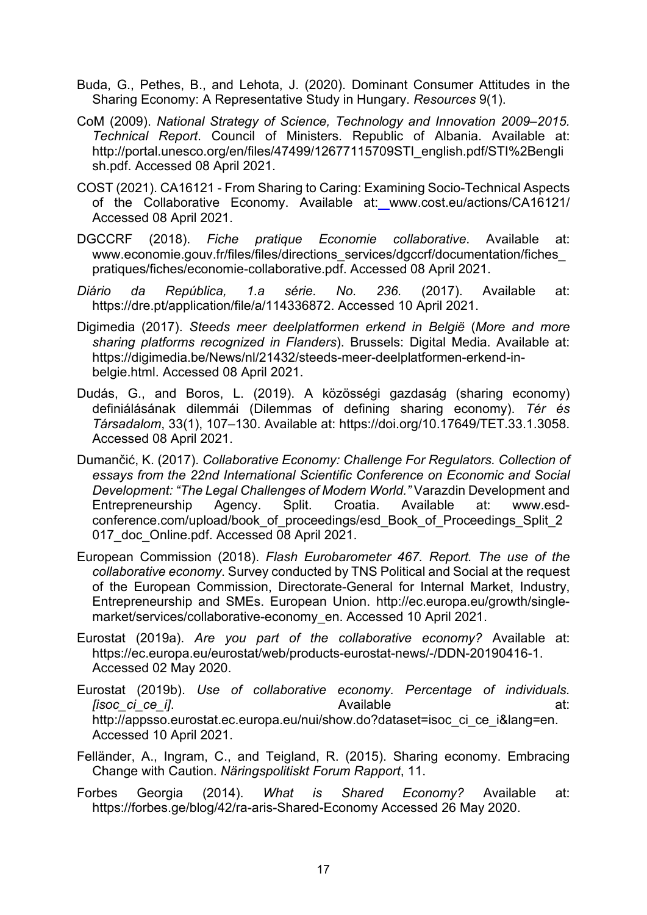- Buda, G., Pethes, B., and Lehota, J. (2020). Dominant Consumer Attitudes in the Sharing Economy: A Representative Study in Hungary. *Resources* 9(1).
- CoM (2009). *National Strategy of Science, Technology and Innovation 2009–2015. Technical Report*. Council of Ministers. Republic of Albania. Available at[:](http://portal.unesco.org/en/files/47499/12677115709STI_english.pdf/STI%2Benglish.pdf) http://portal.unesco.org/en/[files/47499/12677115709STI\\_english.pdf/STI%2Bengli](http://portal.unesco.org/en/files/47499/12677115709STI_english.pdf/STI%2Benglish.pdf)\_ [sh.pdf.](http://portal.unesco.org/en/files/47499/12677115709STI_english.pdf/STI%2Benglish.pdf) Accessed 08 April 2021.
- COST (2021). CA16121 From Sharing to Caring: Examining Socio-Technical Aspects of the Collaborative Economy. Available at: [w](http://portal.unesco.org/en/files/47499/12677115709STI_english.pdf/STI%2Benglish.pdf)ww.cost.eu/actions/CA16121/ Accessed 08 April 2021.
- DGCCRF (2018). *Fiche pratique Economie collaborative*. Available at[:](https://www.economie.gouv.fr/files/files/directions_services/dgccrf/documentation/fiches_pratiques/fiches/economie-collaborative.pdf) [www.economie.gouv.fr/files/files/directions\\_services/dgccrf/documentation/fiches\\_](https://www.economie.gouv.fr/files/files/directions_services/dgccrf/documentation/fiches_pratiques/fiches/economie-collaborative.pdf) [pratiques/fiches/economie-](https://www.economie.gouv.fr/files/files/directions_services/dgccrf/documentation/fiches_pratiques/fiches/economie-collaborative.pdf)collaborative.pdf. Accessed 08 April 2021.
- *Diário da República, 1.a série. No. 236.* (2017). Available at[:](https://dre.pt/application/file/a/114336872) [https://dre.pt/application/file/a/114336872.](https://dre.pt/application/file/a/114336872) Accessed 10 April 2021.
- Digimedia (2017). *Steeds meer deelplatformen erkend in België* (*More and more sharing platforms recognized in Flanders*). Brussels: Digital Media. Available at[:](https://digimedia.be/News/nl/21432/steeds-meer-deelplatformen-erkend-in-belgie.html) [https://digimedia.be/News/nl/21432/steeds](https://digimedia.be/News/nl/21432/steeds-meer-deelplatformen-erkend-in-belgie.html)-meer-deelplatformen-erkend-in[belgie.html](https://digimedia.be/News/nl/21432/steeds-meer-deelplatformen-erkend-in-belgie.html). Accessed 08 April 2021.
- Dudás, G., and Boros, L. (2019). A közösségi gazdaság (sharing economy) definiálásának dilemmái (Dilemmas of defining sharing economy). *Tér és Társadalom*, 33(1), 107–130. Available at: [https://doi.org/10.17649/TET.33.1.3058.](https://doi.org/10.17649/TET.33.1.3058) Accessed 08 April 2021.
- Dumančić, K. (2017). *Collaborative Economy: Challenge For Regulators. Collection of essays from the 22nd International Scientific Conference on Economic and Social Development: "The Legal Challenges of Modern World."* Varazdin Development and Entrepreneurship Agency. Split. Croatia. Available at: [www.esd](http://www.esd-conference.com/upload/book_of_proceedings/esd_Book_of_Proceedings_Split_2017_doc_Online.pdf)conference.com/upload/book of proceedings/esd Book of Proceedings Split 2 017 doc Online.pdf. Accessed 08 April 2021.
- European Commission (2018). *Flash Eurobarometer 467. Report. The use of the collaborative economy*. Survey conducted by TNS Political and Social at the request of the European Commission, Directorate-General for Internal Market, Industry, Entrepreneurship and SMEs. European Union. [http://ec.europa.eu/growth/single](http://ec.europa.eu/growth/single-market/services/collaborative-economy_en)[market/services/collaborative](http://ec.europa.eu/growth/single-market/services/collaborative-economy_en)-economy\_en. Accessed 10 April 2021.
- Eurostat (2019a). *Are you part of the collaborative economy?* Available at[:](https://ec.europa.eu/eurostat/web/products-eurostat-news/-/DDN-20190416-1) [https://ec.europa.eu/eurostat/web/products](https://ec.europa.eu/eurostat/web/products-eurostat-news/-/DDN-20190416-1)-eurostat-news/-/DDN-20190416-1. Accessed 02 May 2020.
- Eurostat (2019b). *Use of collaborative economy. Percentage of individuals. [isoc\_ci\_ce\_i]*. Available at[:](http://appsso.eurostat.ec.europa.eu/nui/show.do?dataset=isoc_ci_ce_i&lang=en) [http://appsso.eurostat.ec.europa.eu/nui/show.do?dataset=isoc\\_ci\\_ce\\_i&lang=en.](http://appsso.eurostat.ec.europa.eu/nui/show.do?dataset=isoc_ci_ce_i&lang=en) Accessed 10 April 2021.
- Felländer, A., Ingram, C., and Teigland, R. (2015). Sharing economy. Embracing Change with Caution. *Näringspolitiskt Forum Rapport*, 11.
- Forbes Georgia (2014). *What is Shared Economy?* Available at[:](https://forbes.ge/blog/42/ra-aris-Shared-Economy%20Accessed%2026%20May%202020) [https://forbes.ge/blog/42/ra](https://forbes.ge/blog/42/ra-aris-Shared-Economy)-aris-Shared-Economy Accessed 26 May 2020.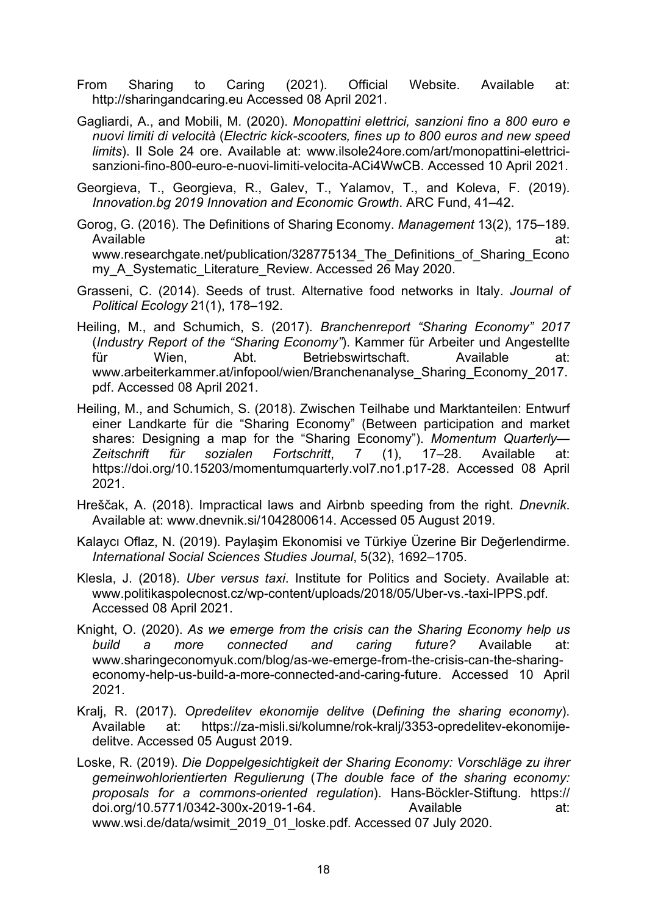- From Sharing to Caring (2021). Official Website. Available at[:](http://portal.unesco.org/en/files/47499/12677115709STI_english.pdf/STI%2Benglish.pdf) http://sharingandcaring.eu Accessed 08 April 2021.
- Gagliardi, A., and Mobili, M. (2020). *Monopattini elettrici, sanzioni fino a 800 euro e nuovi limiti di velocità* (*Electric kick-scooters, fines up to 800 euros and new speed limits*). Il Sole 24 ore. Available at: [www.ilsole24ore.com/art/monopattini-elettrici](http://www.ilsole24ore.com/art/monopattini-elettrici-sanzioni-fino-800-euro-e-nuovi-limiti-velocita-ACi4WwCB)[sanzioni-fino-800-euro-e-nuovi-limiti-velocita-ACi4WwCB.](http://www.ilsole24ore.com/art/monopattini-elettrici-sanzioni-fino-800-euro-e-nuovi-limiti-velocita-ACi4WwCB) Accessed 10 April 2021.
- Georgieva, T., Georgieva, R., Galev, T., Yalamov, T., and Koleva, F. (2019). *Innovation.bg 2019 Innovation and Economic Growth*. ARC Fund, 41–42.
- Gorog, G. (2016). The Definitions of Sharing Economy. *Management* 13(2), 175–189. Available at[:](https://www.researchgate.net/publication/328775134_The_Definitions_of_Sharing_Economy_A_Systematic_Literature_Review) www.researchgate.net/publication/328775134 The Definitions of Sharing Econo my A Systematic Literature Review. Accessed 26 May 2020.
- Grasseni, C. (2014). Seeds of trust. Alternative food networks in Italy. *Journal of Political Ecology* 21(1), 178–192.
- Heiling, M., and Schumich, S. (2017). *Branchenreport "Sharing Economy" 2017* (*Industry Report of the "Sharing Economy"*). Kammer für Arbeiter und Angestellte für Wien, Abt. Betriebswirtschaft. Available at[:](https://www.arbeiterkammer.at/infopool/wien/Branchenanalyse_Sharing_Economy_2017.pdf) [www.arbeiterkammer.at/infopool/wien/Branchenanalyse\\_Sharing\\_Economy\\_2017.](https://www.arbeiterkammer.at/infopool/wien/Branchenanalyse_Sharing_Economy_2017.pdf) [pdf.](https://www.arbeiterkammer.at/infopool/wien/Branchenanalyse_Sharing_Economy_2017.pdf) Accessed 08 April 2021.
- Heiling, M., and Schumich, S. (2018). Zwischen Teilhabe und Marktanteilen: Entwurf einer Landkarte für die "Sharing Economy" (Between participation and market shares: Designing a map for the "Sharing Economy"). *Momentum Quarterly— Zeitschrift für sozialen Fortschritt*, 7 (1), 17–28. Available at[:](https://doi.org/10.15203/momentumquarterly.vol7.no1.p17-28) [https://doi.org/10.15203/momentumquarterly.vol7.no1.p17-28.](https://doi.org/10.15203/momentumquarterly.vol7.no1.p17-28) Accessed 08 April 2021.
- Hreščak, A. (2018). Impractical laws and Airbnb speeding from the right. *Dnevnik*. Available at: [www.dnevnik.si/1042800614.](http://www.dnevnik.si/1042800614) Accessed 05 August 2019.
- Kalaycı Oflaz, N. (2019). Paylaşim Ekonomisi ve Türkiye Üzerine Bir Değerlendirme. *International Social Sciences Studies Journal*, 5(32), 1692–1705.
- Klesla, J. (2018). *Uber versus taxi*. Institute for Politics and Society. Available at[:](https://www.politikaspolecnost.cz/wp-content/uploads/2018/05/Uber-vs.-taxi-IPPS.pdf) [www.politikaspolecnost.cz/wp-content/uploads/2018/0](https://www.politikaspolecnost.cz/wp-content/uploads/2018/05/Uber-vs.-taxi-IPPS.pdf)5/Uber-vs.-taxi-IPPS.pdf. Accessed 08 April 2021.
- Knight, O. (2020). *As we emerge from the crisis can the Sharing Economy help us build a more connected and caring future?* Available at[:](https://www.sharingeconomyuk.com/blog/as-we-emerge-from-the-crisis-can-the-sharing-economy-help-us-build-a-more-connected-and-caring-future) www.sharingeconomyuk.com/blog/as[-we-emerge-from-the-crisis-can-the-sharing](https://www.sharingeconomyuk.com/blog/as-we-emerge-from-the-crisis-can-the-sharing-economy-help-us-build-a-more-connected-and-caring-future)economy-help-us-build[-a-more-connected-and-caring-future.](https://www.sharingeconomyuk.com/blog/as-we-emerge-from-the-crisis-can-the-sharing-economy-help-us-build-a-more-connected-and-caring-future) Accessed 10 April 2021.
- Kralj, R. (2017). *Opredelitev ekonomije delitve* (*Defining the sharing economy*). Available at: [https://za-misli.si/kolumne/rok-kralj/3353-opredelitev-ekonomije](https://za-misli.si/kolumne/rok-kralj/3353-opredelitev-ekonomije-delitve)[delitve.](https://za-misli.si/kolumne/rok-kralj/3353-opredelitev-ekonomije-delitve) Accessed 05 August 2019.
- Loske, R. (2019). *Die Doppelgesichtigkeit der Sharing Economy: Vorschläge zu ihrer gemeinwohlorientierten Regulierung* (*The double face of the sharing economy: proposals for a commons-oriented regulation*). Hans-Böckler-Stiftung. https:// doi.org/10.5771/0342-300x-2019-1-64. Available at[:](https://www.wsi.de/data/wsimit_2019_01_loske.pdf) [www.wsi.de/data/wsimit\\_2019\\_01\\_loske.pdf.](https://www.wsi.de/data/wsimit_2019_01_loske.pdf) Accessed 07 July 2020.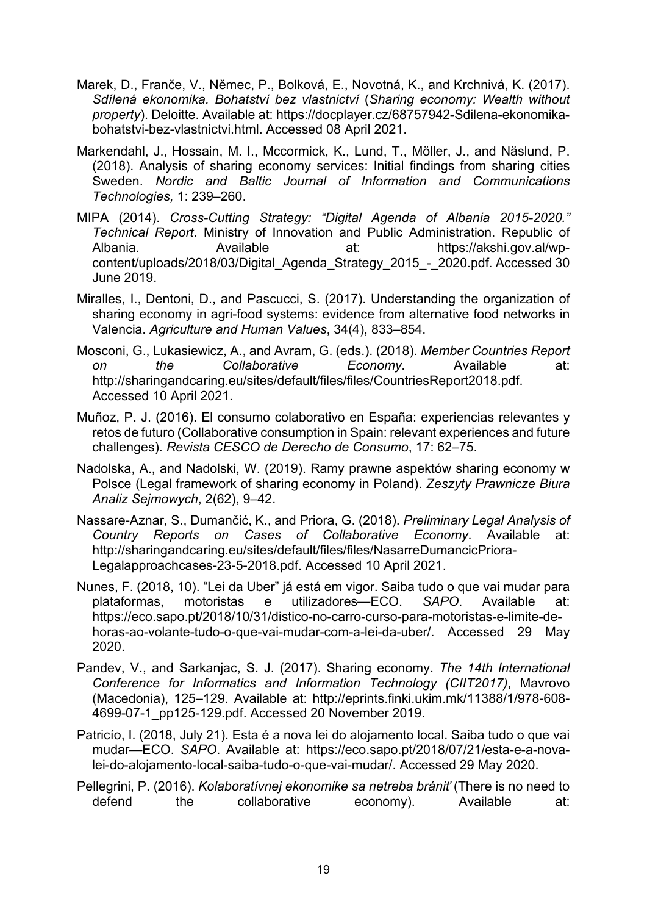- Marek, D., Franče, V., Němec, P., Bolková, E., Novotná, K., and Krchnivá, K. (2017). *Sdílená ekonomika. Bohatství bez vlastnictví* (*Sharing economy: Wealth without property*). Deloitte. Available at: [https://docplayer.cz/68757942-Sdilena-ekonomika](https://docplayer.cz/68757942-Sdilena-ekonomika-bohatstvi-bez-vlastnictvi.html)bohatstvi-bez[-vlastnictvi.html.](https://docplayer.cz/68757942-Sdilena-ekonomika-bohatstvi-bez-vlastnictvi.html) Accessed 08 April 2021.
- Markendahl, J., Hossain, M. I., Mccormick, K., Lund, T., Möller, J., and Näslund, P. (2018). Analysis of sharing economy services: Initial findings from sharing cities Sweden. *Nordic and Baltic Journal of Information and Communications Technologies,* 1: 239–260.
- MIPA (2014). *Cross-Cutting Strategy: "Digital Agenda of Albania 2015-2020." Technical Report*. Ministry of Innovation and Public Administration. Republic of Albania. Available at: [https://akshi.gov.al/wp](https://akshi.gov.al/wp-content/uploads/2018/03/Digital_Agenda_Strategy_2015_-_2020.pdf)[content/uploads/2018/03/Digital\\_Agenda\\_Strategy\\_2015\\_](https://akshi.gov.al/wp-content/uploads/2018/03/Digital_Agenda_Strategy_2015_-_2020.pdf)-\_2020.pdf. Accessed 30 June 2019.
- Miralles, I., Dentoni, D., and Pascucci, S. (2017). Understanding the organization of sharing economy in agri-food systems: evidence from alternative food networks in Valencia. *Agriculture and Human Values*, 34(4), 833–854.
- Mosconi, G., Lukasiewicz, A., and Avram, G. (eds.). (2018). *Member Countries Report on the Collaborative Economy*. Available at: [http://sharingandcaring.eu/sites/default/files/files/CountriesReport2018.pdf.](http://sharingandcaring.eu/sites/default/files/files/CountriesReport2018.pdf) Accessed 10 April 2021.
- Muñoz, P. J. (2016). El consumo colaborativo en España: experiencias relevantes y retos de futuro (Collaborative consumption in Spain: relevant experiences and future challenges). *Revista CESCO de Derecho de Consumo*, 17: 62–75.
- Nadolska, A., and Nadolski, W. (2019). Ramy prawne aspektów sharing economy w Polsce (Legal framework of sharing economy in Poland). *Zeszyty Prawnicze Biura Analiz Sejmowych*, 2(62), 9–42.
- Nassare-Aznar, S., Dumančić, K., and Priora, G. (2018). *Preliminary Legal Analysis of Country Reports on Cases of Collaborative Economy*. Available at[:](http://sharingandcaring.eu/sites/default/files/files/NasarreDumancicPriora-Legalapproachcases-23-5-2018.pdf) [http://sharingandcaring.eu/sites/default/files/files/NasarreDumancicPriora](http://sharingandcaring.eu/sites/default/files/files/NasarreDumancicPriora-Legalapproachcases-23-5-2018.pdf)-[Legalapproachcases-23-5-2018.pdf.](http://sharingandcaring.eu/sites/default/files/files/NasarreDumancicPriora-Legalapproachcases-23-5-2018.pdf) Accessed 10 April 2021.
- Nunes, F. (2018, 10). "Lei da Uber" já está em vigor. Saiba tudo o que vai mudar para plataformas, motoristas e utilizadores—ECO. *SAPO*. Available at[:](https://eco.sapo.pt/2018/10/31/distico-no-carro-curso-para-motoristas-e-limite-de-horas-ao-volante-tudo-o-que-vai-mudar-com-a-lei-da-uber/) [https://eco.sapo.pt/2018/10/31/distico-no-carro-curso-para-motoristas-e-limite-de](https://eco.sapo.pt/2018/10/31/distico-no-carro-curso-para-motoristas-e-limite-de-horas-ao-volante-tudo-o-que-vai-mudar-com-a-lei-da-uber/)[horas-ao-volante-tudo-o-que-vai-mudar-com-a-lei-da-](https://eco.sapo.pt/2018/10/31/distico-no-carro-curso-para-motoristas-e-limite-de-horas-ao-volante-tudo-o-que-vai-mudar-com-a-lei-da-uber/)uber/. Accessed 29 May 2020.
- Pandev, V., and Sarkanjac, S. J. (2017). Sharing economy. *The 14th International Conference for Informatics and Information Technology (CIIT2017)*, Mavrovo (Macedonia), 125–129. Available at: [http://eprints.finki.ukim.mk/11388/1/978-608-](http://eprints.finki.ukim.mk/11388/1/978-608-4699-07-1_pp125-129.pdf) [4699-07-1\\_pp125-129.pdf.](http://eprints.finki.ukim.mk/11388/1/978-608-4699-07-1_pp125-129.pdf) Accessed 20 November 2019.
- Patricío, I. (2018, July 21). Esta é a nova lei do alojamento local. Saiba tudo o que vai mudar—ECO. *SAPO*. Available at: [https://eco.sapo.pt/2018/07/21/esta-e-a-nova](https://eco.sapo.pt/2018/07/21/esta-e-a-nova-lei-do-alojamento-local-saiba-tudo-o-que-vai-mudar/)[lei-do-alojamento-local-](https://eco.sapo.pt/2018/07/21/esta-e-a-nova-lei-do-alojamento-local-saiba-tudo-o-que-vai-mudar/)saiba-tudo-o-que-vai-mudar/. Accessed 29 May 2020.
- Pellegrini, P. (2016). *Kolaboratívnej ekonomike sa netreba brániť* (There is no need to defend the collaborative economy). Available at: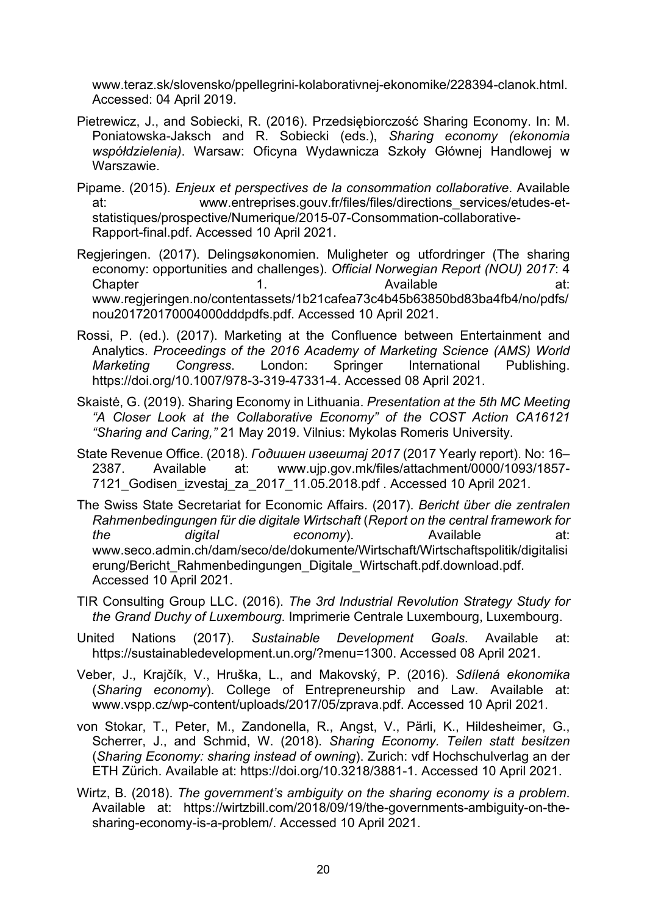[www.teraz.sk/slovensko/ppellegrini-](http://www.teraz.sk/slovensko/ppellegrini-kolaborativnej-ekonomike/228394-clanok.html)kolaborativnej-ekonomike/228394-clanok.html. Accessed: 04 April 2019.

- Pietrewicz, J., and Sobiecki, R. (2016). Przedsiębiorczość Sharing Economy. In: M. Poniatowska-Jaksch and R. Sobiecki (eds.), *Sharing economy (ekonomia współdzielenia)*. Warsaw: Oficyna Wydawnicza Szkoły Głównej Handlowej w Warszawie.
- Pipame. (2015). *Enjeux et perspectives de la consommation collaborative*. Available at: [www.entreprises.gouv.fr/files/files/directions\\_services/etudes-et](http://www.entreprises.gouv.fr/files/files/directions_services/etudes-et-statistiques/prospective/Numerique/2015-07-Consommation-collaborative-Rapport-final.pdf)[statistiques/prospective/Numerique/2015-07-Consommation-](http://www.entreprises.gouv.fr/files/files/directions_services/etudes-et-statistiques/prospective/Numerique/2015-07-Consommation-collaborative-Rapport-final.pdf)collaborative-[Rapport-final.pdf.](http://www.entreprises.gouv.fr/files/files/directions_services/etudes-et-statistiques/prospective/Numerique/2015-07-Consommation-collaborative-Rapport-final.pdf) Accessed 10 April 2021.
- Regjeringen. (2017). Delingsøkonomien. Muligheter og utfordringer (The sharing economy: opportunities and challenges). *Official Norwegian Report (NOU) 2017*: 4 Chapter 1. Available at[:](https://www.regjeringen.no/contentassets/1b21cafea73c4b45b63850bd83ba4fb4/no/pdfs/nou201720170004000dddpdfs.pdf%20Accessed%2029%20May%202020) [www.regjeringen.no/contentassets/1b21cafea73c4b45b63850bd83ba4fb4/no/pdfs/](https://www.regjeringen.no/contentassets/1b21cafea73c4b45b63850bd83ba4fb4/no/pdfs/nou201720170004000dddpdfs.pdf%20Accessed%2029%20May%202020) [nou201720170004000dddpdfs.pdf.](https://www.regjeringen.no/contentassets/1b21cafea73c4b45b63850bd83ba4fb4/no/pdfs/nou201720170004000dddpdfs.pdf%20Accessed%2029%20May%202020) Accessed 10 April 2021.
- Rossi, P. (ed.). (2017). Marketing at the Confluence between Entertainment and Analytics. *Proceedings of the 2016 Academy of Marketing Science (AMS) World Marketing Congress*. London: Springer International Publishing. https://doi.org/10.1007/978-3-319-47331-4. Accessed 08 April 2021.
- Skaistė, G. (2019). Sharing Economy in Lithuania. *Presentation at the 5th MC Meeting "A Closer Look at the Collaborative Economy" of the COST Action CA16121 "Sharing and Caring,"* 21 May 2019. Vilnius: Mykolas Romeris University.
- State Revenue Office. (2018). *Годишен извештај 2017* (2017 Yearly report). No: 16– 2387. Available at: [www.ujp.gov.mk/files/attachment/0000/1093/1857-](http://www.ujp.gov.mk/files/attachment/0000/1093/1857-7121_Godisen_izvestaj_za_2017_11.05.2018.pdf) [7121\\_Godisen\\_izvestaj\\_za\\_2017\\_11.05.2018.pdf .](http://www.ujp.gov.mk/files/attachment/0000/1093/1857-7121_Godisen_izvestaj_za_2017_11.05.2018.pdf) Accessed 10 April 2021.
- The Swiss State Secretariat for Economic Affairs. (2017). *Bericht über die zentralen Rahmenbedingungen für die digitale Wirtschaft* (*Report on the central framework for the digital economy*). Available at[:](http://www.seco.admin.ch/dam/seco/de/dokumente/Wirtschaft/Wirtschaftspolitik/digitalisierung/Bericht_Rahmenbedingungen_Digitale_Wirtschaft.pdf.download.pdf/Bericht_Rahmenbedingungen_Digitale_Wirtschaft_de.pdf) [www.seco.admin.ch/dam/seco/de/dokumente/Wirtschaft/Wirtschaftspolitik/digitalisi](http://www.seco.admin.ch/dam/seco/de/dokumente/Wirtschaft/Wirtschaftspolitik/digitalisierung/Bericht_Rahmenbedingungen_Digitale_Wirtschaft.pdf.download.pdf/Bericht_Rahmenbedingungen_Digitale_Wirtschaft_de.pdf) [erung/Bericht\\_Rahmenbedingungen\\_Digitale\\_Wirtschaft.pdf.download.pdf](http://www.seco.admin.ch/dam/seco/de/dokumente/Wirtschaft/Wirtschaftspolitik/digitalisierung/Bericht_Rahmenbedingungen_Digitale_Wirtschaft.pdf.download.pdf/Bericht_Rahmenbedingungen_Digitale_Wirtschaft_de.pdf). Accessed 10 April 2021.
- TIR Consulting Group LLC. (2016). *The 3rd Industrial Revolution Strategy Study for the Grand Duchy of Luxembourg*. Imprimerie Centrale Luxembourg, Luxembourg.
- United Nations (2017). *Sustainable Development Goals*. Available at[:](https://sustainabledevelopment.un.org/?menu=1300) <https://sustainabledevelopment.un.org/?menu=1300>. Accessed 08 April 2021.
- Veber, J., Krajčík, V., Hruška, L., and Makovský, P. (2016). *Sdílená ekonomika* (*Sharing economy*). College of Entrepreneurship and Law. Available at[:](https://www.vspp.cz/wp-content/uploads/2017/05/zprava.pdf%20Accessed%2008%20Apr%202021) [www.vspp.cz/wp-content/uploads/2017/05/zprava.pdf.](https://www.vspp.cz/wp-content/uploads/2017/05/zprava.pdf%20Accessed%2008%20Apr%202021) Accessed 10 April 2021.
- von Stokar, T., Peter, M., Zandonella, R., Angst, V., Pärli, K., Hildesheimer, G., Scherrer, J., and Schmid, W. (2018). *Sharing Economy. Teilen statt besitzen* (*Sharing Economy: sharing instead of owning*). Zurich: vdf Hochschulverlag an der ETH Zürich. Available at: [https://doi.org/10.3218/3881-1.](https://doi.org/10.3218/3881-1) Accessed 10 April 2021.
- Wirtz, B. (2018). *The government's ambiguity on the sharing economy is a problem*. Available at: [https://wirtzbill.com/2018/09/19/the](https://wirtzbill.com/2018/09/19/the-governments-ambiguity-on-the-sharing-economy-is-a-problem/)-governments-ambiguity-on-the[sharing-economy-is-a-](https://wirtzbill.com/2018/09/19/the-governments-ambiguity-on-the-sharing-economy-is-a-problem/)problem/. Accessed 10 April 2021.